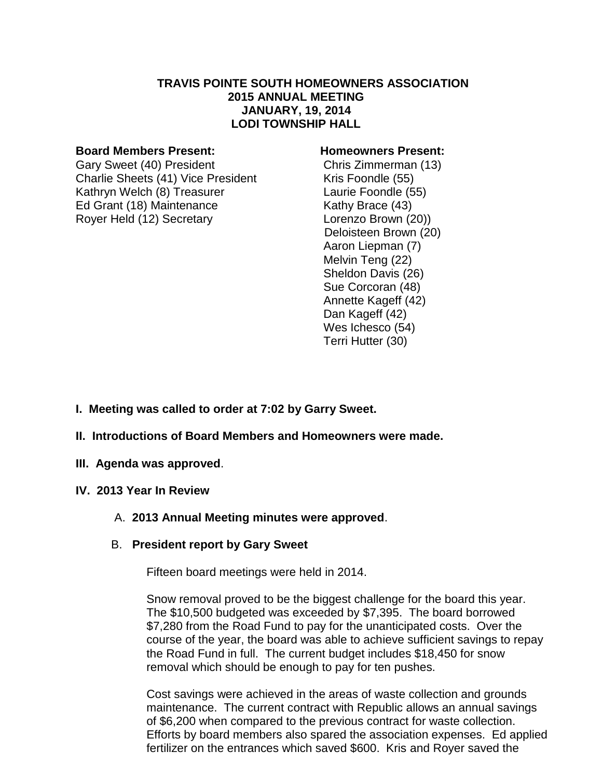### **TRAVIS POINTE SOUTH HOMEOWNERS ASSOCIATION 2015 ANNUAL MEETING JANUARY, 19, 2014 LODI TOWNSHIP HALL**

#### **Board Members Present: Homeowners Present:**

Gary Sweet (40) President Chris Zimmerman (13) Charlie Sheets (41) Vice President Kris Foondle (55) Kathryn Welch (8) Treasurer Laurie Foondle (55) Ed Grant (18) Maintenance Kathy Brace (43) Royer Held (12) Secretary Lorenzo Brown (20))

 Deloisteen Brown (20) Aaron Liepman (7) Melvin Teng (22) Sheldon Davis (26) Sue Corcoran (48) Annette Kageff (42) Dan Kageff (42) Wes Ichesco (54) Terri Hutter (30)

- **I. Meeting was called to order at 7:02 by Garry Sweet.**
- **II. Introductions of Board Members and Homeowners were made.**
- **III. Agenda was approved**.
- **IV. 2013 Year In Review**
	- A. **2013 Annual Meeting minutes were approved**.
	- B. **President report by Gary Sweet**

Fifteen board meetings were held in 2014.

Snow removal proved to be the biggest challenge for the board this year. The \$10,500 budgeted was exceeded by \$7,395. The board borrowed \$7,280 from the Road Fund to pay for the unanticipated costs. Over the course of the year, the board was able to achieve sufficient savings to repay the Road Fund in full. The current budget includes \$18,450 for snow removal which should be enough to pay for ten pushes.

Cost savings were achieved in the areas of waste collection and grounds maintenance. The current contract with Republic allows an annual savings of \$6,200 when compared to the previous contract for waste collection. Efforts by board members also spared the association expenses. Ed applied fertilizer on the entrances which saved \$600. Kris and Royer saved the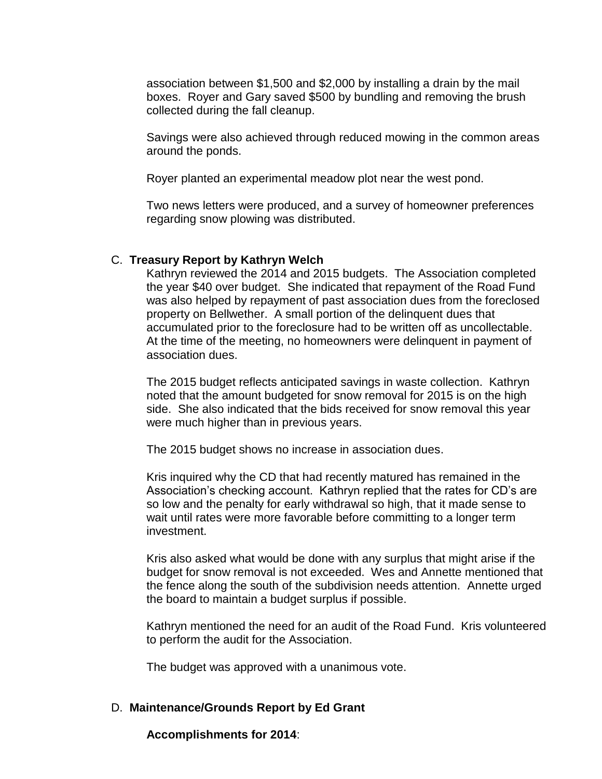association between \$1,500 and \$2,000 by installing a drain by the mail boxes. Royer and Gary saved \$500 by bundling and removing the brush collected during the fall cleanup.

Savings were also achieved through reduced mowing in the common areas around the ponds.

Royer planted an experimental meadow plot near the west pond.

Two news letters were produced, and a survey of homeowner preferences regarding snow plowing was distributed.

# C. **Treasury Report by Kathryn Welch**

Kathryn reviewed the 2014 and 2015 budgets. The Association completed the year \$40 over budget. She indicated that repayment of the Road Fund was also helped by repayment of past association dues from the foreclosed property on Bellwether. A small portion of the delinquent dues that accumulated prior to the foreclosure had to be written off as uncollectable. At the time of the meeting, no homeowners were delinquent in payment of association dues.

The 2015 budget reflects anticipated savings in waste collection. Kathryn noted that the amount budgeted for snow removal for 2015 is on the high side. She also indicated that the bids received for snow removal this year were much higher than in previous years.

The 2015 budget shows no increase in association dues.

Kris inquired why the CD that had recently matured has remained in the Association's checking account. Kathryn replied that the rates for CD's are so low and the penalty for early withdrawal so high, that it made sense to wait until rates were more favorable before committing to a longer term investment.

Kris also asked what would be done with any surplus that might arise if the budget for snow removal is not exceeded. Wes and Annette mentioned that the fence along the south of the subdivision needs attention. Annette urged the board to maintain a budget surplus if possible.

Kathryn mentioned the need for an audit of the Road Fund. Kris volunteered to perform the audit for the Association.

The budget was approved with a unanimous vote.

### D. **Maintenance/Grounds Report by Ed Grant**

**Accomplishments for 2014**: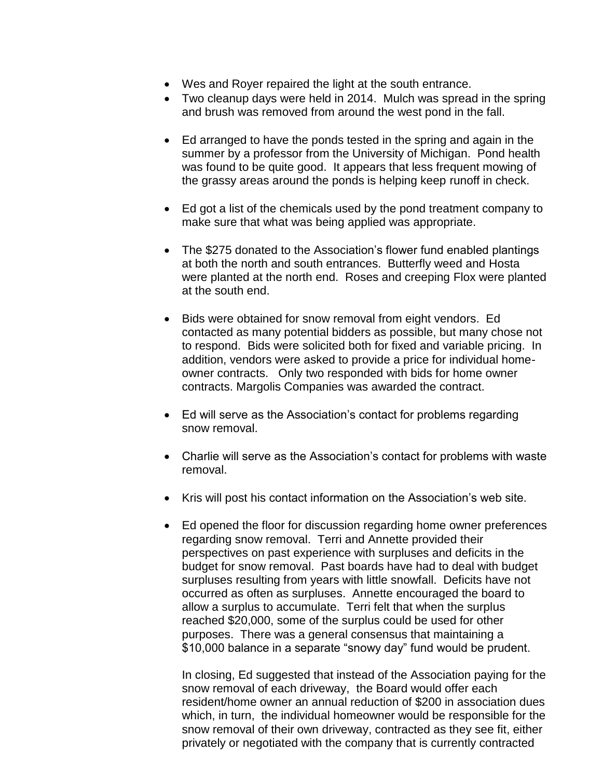- Wes and Royer repaired the light at the south entrance.
- Two cleanup days were held in 2014. Mulch was spread in the spring and brush was removed from around the west pond in the fall.
- Ed arranged to have the ponds tested in the spring and again in the summer by a professor from the University of Michigan. Pond health was found to be quite good. It appears that less frequent mowing of the grassy areas around the ponds is helping keep runoff in check.
- Ed got a list of the chemicals used by the pond treatment company to make sure that what was being applied was appropriate.
- The \$275 donated to the Association's flower fund enabled plantings at both the north and south entrances. Butterfly weed and Hosta were planted at the north end. Roses and creeping Flox were planted at the south end.
- Bids were obtained for snow removal from eight vendors. Ed contacted as many potential bidders as possible, but many chose not to respond. Bids were solicited both for fixed and variable pricing. In addition, vendors were asked to provide a price for individual homeowner contracts. Only two responded with bids for home owner contracts. Margolis Companies was awarded the contract.
- Ed will serve as the Association's contact for problems regarding snow removal.
- Charlie will serve as the Association's contact for problems with waste removal.
- Kris will post his contact information on the Association's web site.
- Ed opened the floor for discussion regarding home owner preferences regarding snow removal. Terri and Annette provided their perspectives on past experience with surpluses and deficits in the budget for snow removal. Past boards have had to deal with budget surpluses resulting from years with little snowfall. Deficits have not occurred as often as surpluses. Annette encouraged the board to allow a surplus to accumulate. Terri felt that when the surplus reached \$20,000, some of the surplus could be used for other purposes. There was a general consensus that maintaining a \$10,000 balance in a separate "snowy day" fund would be prudent.

In closing, Ed suggested that instead of the Association paying for the snow removal of each driveway, the Board would offer each resident/home owner an annual reduction of \$200 in association dues which, in turn, the individual homeowner would be responsible for the snow removal of their own driveway, contracted as they see fit, either privately or negotiated with the company that is currently contracted